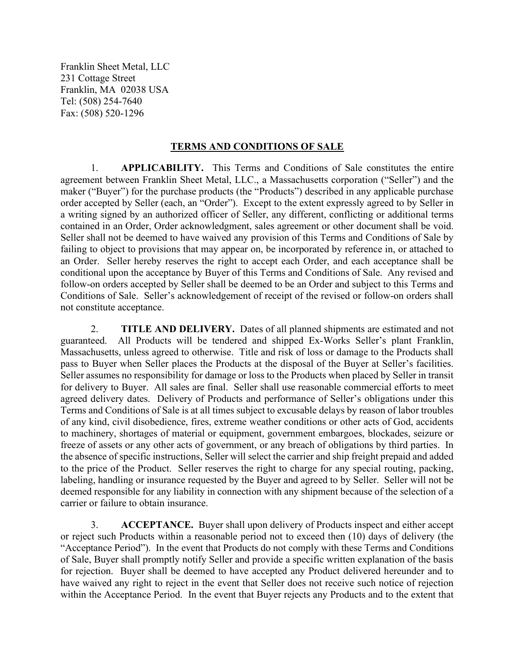Franklin Sheet Metal, LLC 231 Cottage Street Franklin, MA 02038 USA Tel: (508) 254-7640 Fax: (508) 520-1296

## TERMS AND CONDITIONS OF SALE

1. APPLICABILITY. This Terms and Conditions of Sale constitutes the entire agreement between Franklin Sheet Metal, LLC., a Massachusetts corporation ("Seller") and the maker ("Buyer") for the purchase products (the "Products") described in any applicable purchase order accepted by Seller (each, an "Order"). Except to the extent expressly agreed to by Seller in a writing signed by an authorized officer of Seller, any different, conflicting or additional terms contained in an Order, Order acknowledgment, sales agreement or other document shall be void. Seller shall not be deemed to have waived any provision of this Terms and Conditions of Sale by failing to object to provisions that may appear on, be incorporated by reference in, or attached to an Order. Seller hereby reserves the right to accept each Order, and each acceptance shall be conditional upon the acceptance by Buyer of this Terms and Conditions of Sale. Any revised and follow-on orders accepted by Seller shall be deemed to be an Order and subject to this Terms and Conditions of Sale. Seller's acknowledgement of receipt of the revised or follow-on orders shall not constitute acceptance.

2. **TITLE AND DELIVERY.** Dates of all planned shipments are estimated and not guaranteed. All Products will be tendered and shipped Ex-Works Seller's plant Franklin, Massachusetts, unless agreed to otherwise. Title and risk of loss or damage to the Products shall pass to Buyer when Seller places the Products at the disposal of the Buyer at Seller's facilities. Seller assumes no responsibility for damage or loss to the Products when placed by Seller in transit for delivery to Buyer. All sales are final. Seller shall use reasonable commercial efforts to meet agreed delivery dates. Delivery of Products and performance of Seller's obligations under this Terms and Conditions of Sale is at all times subject to excusable delays by reason of labor troubles of any kind, civil disobedience, fires, extreme weather conditions or other acts of God, accidents to machinery, shortages of material or equipment, government embargoes, blockades, seizure or freeze of assets or any other acts of government, or any breach of obligations by third parties. In the absence of specific instructions, Seller will select the carrier and ship freight prepaid and added to the price of the Product. Seller reserves the right to charge for any special routing, packing, labeling, handling or insurance requested by the Buyer and agreed to by Seller. Seller will not be deemed responsible for any liability in connection with any shipment because of the selection of a carrier or failure to obtain insurance.

3. ACCEPTANCE. Buyer shall upon delivery of Products inspect and either accept or reject such Products within a reasonable period not to exceed then (10) days of delivery (the "Acceptance Period"). In the event that Products do not comply with these Terms and Conditions of Sale, Buyer shall promptly notify Seller and provide a specific written explanation of the basis for rejection. Buyer shall be deemed to have accepted any Product delivered hereunder and to have waived any right to reject in the event that Seller does not receive such notice of rejection within the Acceptance Period. In the event that Buyer rejects any Products and to the extent that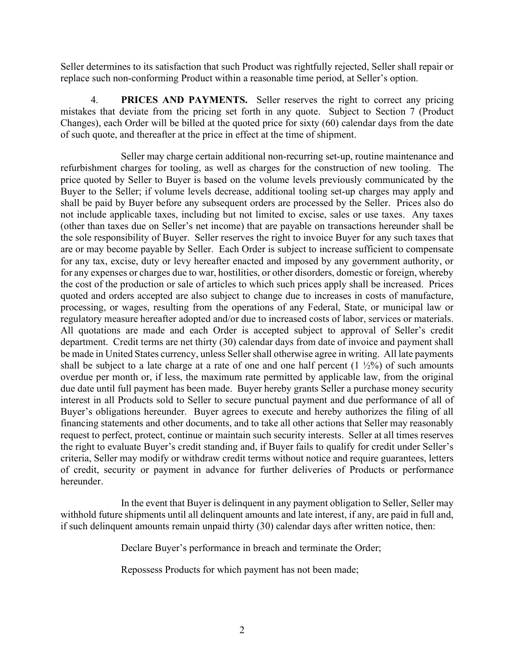Seller determines to its satisfaction that such Product was rightfully rejected, Seller shall repair or replace such non-conforming Product within a reasonable time period, at Seller's option.

4. PRICES AND PAYMENTS. Seller reserves the right to correct any pricing mistakes that deviate from the pricing set forth in any quote. Subject to Section 7 (Product Changes), each Order will be billed at the quoted price for sixty (60) calendar days from the date of such quote, and thereafter at the price in effect at the time of shipment.

Seller may charge certain additional non-recurring set-up, routine maintenance and refurbishment charges for tooling, as well as charges for the construction of new tooling. The price quoted by Seller to Buyer is based on the volume levels previously communicated by the Buyer to the Seller; if volume levels decrease, additional tooling set-up charges may apply and shall be paid by Buyer before any subsequent orders are processed by the Seller. Prices also do not include applicable taxes, including but not limited to excise, sales or use taxes. Any taxes (other than taxes due on Seller's net income) that are payable on transactions hereunder shall be the sole responsibility of Buyer. Seller reserves the right to invoice Buyer for any such taxes that are or may become payable by Seller. Each Order is subject to increase sufficient to compensate for any tax, excise, duty or levy hereafter enacted and imposed by any government authority, or for any expenses or charges due to war, hostilities, or other disorders, domestic or foreign, whereby the cost of the production or sale of articles to which such prices apply shall be increased. Prices quoted and orders accepted are also subject to change due to increases in costs of manufacture, processing, or wages, resulting from the operations of any Federal, State, or municipal law or regulatory measure hereafter adopted and/or due to increased costs of labor, services or materials. All quotations are made and each Order is accepted subject to approval of Seller's credit department. Credit terms are net thirty (30) calendar days from date of invoice and payment shall be made in United States currency, unless Seller shall otherwise agree in writing. All late payments shall be subject to a late charge at a rate of one and one half percent  $(1 \frac{1}{2}\%)$  of such amounts overdue per month or, if less, the maximum rate permitted by applicable law, from the original due date until full payment has been made. Buyer hereby grants Seller a purchase money security interest in all Products sold to Seller to secure punctual payment and due performance of all of Buyer's obligations hereunder. Buyer agrees to execute and hereby authorizes the filing of all financing statements and other documents, and to take all other actions that Seller may reasonably request to perfect, protect, continue or maintain such security interests. Seller at all times reserves the right to evaluate Buyer's credit standing and, if Buyer fails to qualify for credit under Seller's criteria, Seller may modify or withdraw credit terms without notice and require guarantees, letters of credit, security or payment in advance for further deliveries of Products or performance hereunder.

In the event that Buyer is delinquent in any payment obligation to Seller, Seller may withhold future shipments until all delinquent amounts and late interest, if any, are paid in full and, if such delinquent amounts remain unpaid thirty (30) calendar days after written notice, then:

Declare Buyer's performance in breach and terminate the Order;

Repossess Products for which payment has not been made;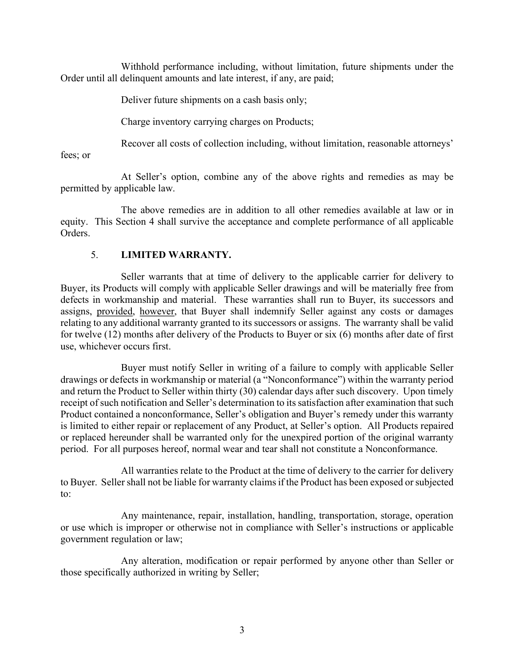Withhold performance including, without limitation, future shipments under the Order until all delinquent amounts and late interest, if any, are paid;

Deliver future shipments on a cash basis only;

Charge inventory carrying charges on Products;

Recover all costs of collection including, without limitation, reasonable attorneys'

fees; or

At Seller's option, combine any of the above rights and remedies as may be permitted by applicable law.

The above remedies are in addition to all other remedies available at law or in equity. This Section 4 shall survive the acceptance and complete performance of all applicable Orders.

## 5. LIMITED WARRANTY.

Seller warrants that at time of delivery to the applicable carrier for delivery to Buyer, its Products will comply with applicable Seller drawings and will be materially free from defects in workmanship and material. These warranties shall run to Buyer, its successors and assigns, provided, however, that Buyer shall indemnify Seller against any costs or damages relating to any additional warranty granted to its successors or assigns. The warranty shall be valid for twelve (12) months after delivery of the Products to Buyer or six (6) months after date of first use, whichever occurs first.

Buyer must notify Seller in writing of a failure to comply with applicable Seller drawings or defects in workmanship or material (a "Nonconformance") within the warranty period and return the Product to Seller within thirty (30) calendar days after such discovery. Upon timely receipt of such notification and Seller's determination to its satisfaction after examination that such Product contained a nonconformance, Seller's obligation and Buyer's remedy under this warranty is limited to either repair or replacement of any Product, at Seller's option. All Products repaired or replaced hereunder shall be warranted only for the unexpired portion of the original warranty period. For all purposes hereof, normal wear and tear shall not constitute a Nonconformance.

All warranties relate to the Product at the time of delivery to the carrier for delivery to Buyer. Seller shall not be liable for warranty claims if the Product has been exposed or subjected to:

Any maintenance, repair, installation, handling, transportation, storage, operation or use which is improper or otherwise not in compliance with Seller's instructions or applicable government regulation or law;

Any alteration, modification or repair performed by anyone other than Seller or those specifically authorized in writing by Seller;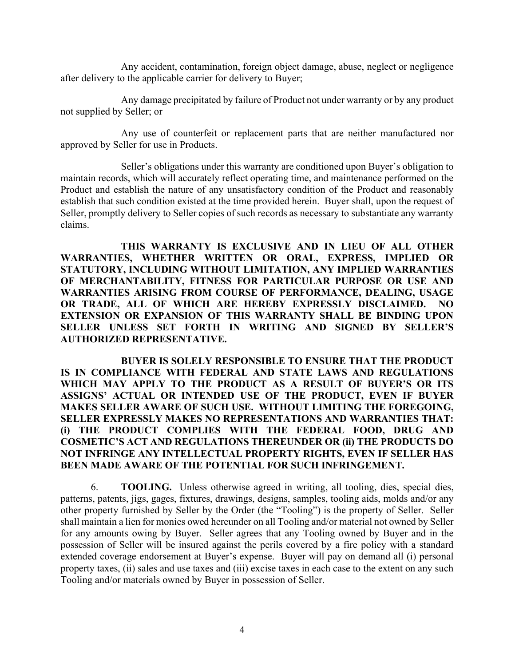Any accident, contamination, foreign object damage, abuse, neglect or negligence after delivery to the applicable carrier for delivery to Buyer;

Any damage precipitated by failure of Product not under warranty or by any product not supplied by Seller; or

Any use of counterfeit or replacement parts that are neither manufactured nor approved by Seller for use in Products.

Seller's obligations under this warranty are conditioned upon Buyer's obligation to maintain records, which will accurately reflect operating time, and maintenance performed on the Product and establish the nature of any unsatisfactory condition of the Product and reasonably establish that such condition existed at the time provided herein. Buyer shall, upon the request of Seller, promptly delivery to Seller copies of such records as necessary to substantiate any warranty claims.

THIS WARRANTY IS EXCLUSIVE AND IN LIEU OF ALL OTHER WARRANTIES, WHETHER WRITTEN OR ORAL, EXPRESS, IMPLIED OR STATUTORY, INCLUDING WITHOUT LIMITATION, ANY IMPLIED WARRANTIES OF MERCHANTABILITY, FITNESS FOR PARTICULAR PURPOSE OR USE AND WARRANTIES ARISING FROM COURSE OF PERFORMANCE, DEALING, USAGE OR TRADE, ALL OF WHICH ARE HEREBY EXPRESSLY DISCLAIMED. NO EXTENSION OR EXPANSION OF THIS WARRANTY SHALL BE BINDING UPON SELLER UNLESS SET FORTH IN WRITING AND SIGNED BY SELLER'S AUTHORIZED REPRESENTATIVE.

BUYER IS SOLELY RESPONSIBLE TO ENSURE THAT THE PRODUCT IS IN COMPLIANCE WITH FEDERAL AND STATE LAWS AND REGULATIONS WHICH MAY APPLY TO THE PRODUCT AS A RESULT OF BUYER'S OR ITS ASSIGNS' ACTUAL OR INTENDED USE OF THE PRODUCT, EVEN IF BUYER MAKES SELLER AWARE OF SUCH USE. WITHOUT LIMITING THE FOREGOING, SELLER EXPRESSLY MAKES NO REPRESENTATIONS AND WARRANTIES THAT: (i) THE PRODUCT COMPLIES WITH THE FEDERAL FOOD, DRUG AND COSMETIC'S ACT AND REGULATIONS THEREUNDER OR (ii) THE PRODUCTS DO NOT INFRINGE ANY INTELLECTUAL PROPERTY RIGHTS, EVEN IF SELLER HAS BEEN MADE AWARE OF THE POTENTIAL FOR SUCH INFRINGEMENT.

6. TOOLING. Unless otherwise agreed in writing, all tooling, dies, special dies, patterns, patents, jigs, gages, fixtures, drawings, designs, samples, tooling aids, molds and/or any other property furnished by Seller by the Order (the "Tooling") is the property of Seller. Seller shall maintain a lien for monies owed hereunder on all Tooling and/or material not owned by Seller for any amounts owing by Buyer. Seller agrees that any Tooling owned by Buyer and in the possession of Seller will be insured against the perils covered by a fire policy with a standard extended coverage endorsement at Buyer's expense. Buyer will pay on demand all (i) personal property taxes, (ii) sales and use taxes and (iii) excise taxes in each case to the extent on any such Tooling and/or materials owned by Buyer in possession of Seller.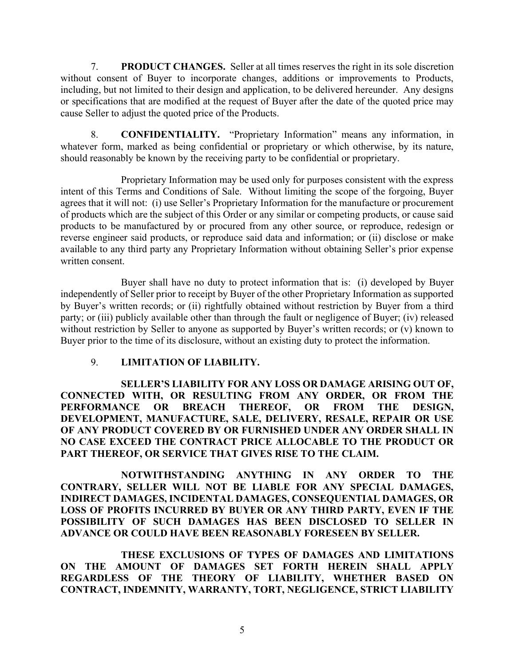7. PRODUCT CHANGES. Seller at all times reserves the right in its sole discretion without consent of Buyer to incorporate changes, additions or improvements to Products, including, but not limited to their design and application, to be delivered hereunder. Any designs or specifications that are modified at the request of Buyer after the date of the quoted price may cause Seller to adjust the quoted price of the Products.

8. CONFIDENTIALITY. "Proprietary Information" means any information, in whatever form, marked as being confidential or proprietary or which otherwise, by its nature, should reasonably be known by the receiving party to be confidential or proprietary.

Proprietary Information may be used only for purposes consistent with the express intent of this Terms and Conditions of Sale. Without limiting the scope of the forgoing, Buyer agrees that it will not: (i) use Seller's Proprietary Information for the manufacture or procurement of products which are the subject of this Order or any similar or competing products, or cause said products to be manufactured by or procured from any other source, or reproduce, redesign or reverse engineer said products, or reproduce said data and information; or (ii) disclose or make available to any third party any Proprietary Information without obtaining Seller's prior expense written consent.

Buyer shall have no duty to protect information that is: (i) developed by Buyer independently of Seller prior to receipt by Buyer of the other Proprietary Information as supported by Buyer's written records; or (ii) rightfully obtained without restriction by Buyer from a third party; or (iii) publicly available other than through the fault or negligence of Buyer; (iv) released without restriction by Seller to anyone as supported by Buyer's written records; or (v) known to Buyer prior to the time of its disclosure, without an existing duty to protect the information.

## 9. LIMITATION OF LIABILITY.

SELLER'S LIABILITY FOR ANY LOSS OR DAMAGE ARISING OUT OF, CONNECTED WITH, OR RESULTING FROM ANY ORDER, OR FROM THE PERFORMANCE OR BREACH THEREOF, OR FROM THE DESIGN, DEVELOPMENT, MANUFACTURE, SALE, DELIVERY, RESALE, REPAIR OR USE OF ANY PRODUCT COVERED BY OR FURNISHED UNDER ANY ORDER SHALL IN NO CASE EXCEED THE CONTRACT PRICE ALLOCABLE TO THE PRODUCT OR PART THEREOF, OR SERVICE THAT GIVES RISE TO THE CLAIM.

NOTWITHSTANDING ANYTHING IN ANY ORDER TO THE CONTRARY, SELLER WILL NOT BE LIABLE FOR ANY SPECIAL DAMAGES, INDIRECT DAMAGES, INCIDENTAL DAMAGES, CONSEQUENTIAL DAMAGES, OR LOSS OF PROFITS INCURRED BY BUYER OR ANY THIRD PARTY, EVEN IF THE POSSIBILITY OF SUCH DAMAGES HAS BEEN DISCLOSED TO SELLER IN ADVANCE OR COULD HAVE BEEN REASONABLY FORESEEN BY SELLER.

THESE EXCLUSIONS OF TYPES OF DAMAGES AND LIMITATIONS ON THE AMOUNT OF DAMAGES SET FORTH HEREIN SHALL APPLY REGARDLESS OF THE THEORY OF LIABILITY, WHETHER BASED ON CONTRACT, INDEMNITY, WARRANTY, TORT, NEGLIGENCE, STRICT LIABILITY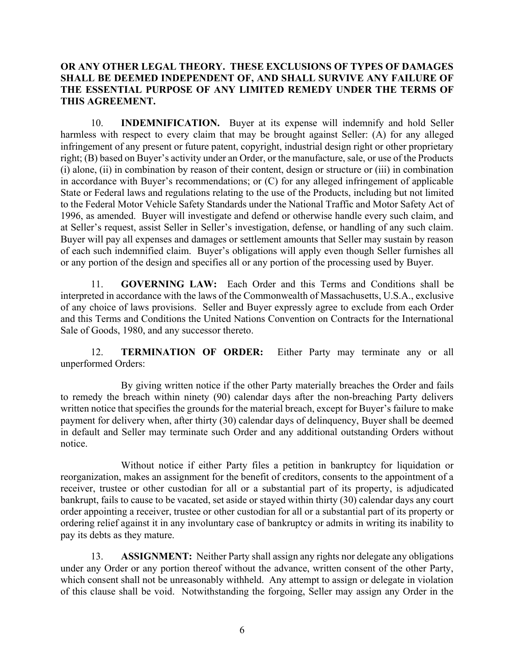## OR ANY OTHER LEGAL THEORY. THESE EXCLUSIONS OF TYPES OF DAMAGES SHALL BE DEEMED INDEPENDENT OF, AND SHALL SURVIVE ANY FAILURE OF THE ESSENTIAL PURPOSE OF ANY LIMITED REMEDY UNDER THE TERMS OF THIS AGREEMENT.

10. INDEMNIFICATION. Buyer at its expense will indemnify and hold Seller harmless with respect to every claim that may be brought against Seller: (A) for any alleged infringement of any present or future patent, copyright, industrial design right or other proprietary right; (B) based on Buyer's activity under an Order, or the manufacture, sale, or use of the Products (i) alone, (ii) in combination by reason of their content, design or structure or (iii) in combination in accordance with Buyer's recommendations; or (C) for any alleged infringement of applicable State or Federal laws and regulations relating to the use of the Products, including but not limited to the Federal Motor Vehicle Safety Standards under the National Traffic and Motor Safety Act of 1996, as amended. Buyer will investigate and defend or otherwise handle every such claim, and at Seller's request, assist Seller in Seller's investigation, defense, or handling of any such claim. Buyer will pay all expenses and damages or settlement amounts that Seller may sustain by reason of each such indemnified claim. Buyer's obligations will apply even though Seller furnishes all or any portion of the design and specifies all or any portion of the processing used by Buyer.

11. GOVERNING LAW: Each Order and this Terms and Conditions shall be interpreted in accordance with the laws of the Commonwealth of Massachusetts, U.S.A., exclusive of any choice of laws provisions. Seller and Buyer expressly agree to exclude from each Order and this Terms and Conditions the United Nations Convention on Contracts for the International Sale of Goods, 1980, and any successor thereto.

12. TERMINATION OF ORDER: Either Party may terminate any or all unperformed Orders:

By giving written notice if the other Party materially breaches the Order and fails to remedy the breach within ninety (90) calendar days after the non-breaching Party delivers written notice that specifies the grounds for the material breach, except for Buyer's failure to make payment for delivery when, after thirty (30) calendar days of delinquency, Buyer shall be deemed in default and Seller may terminate such Order and any additional outstanding Orders without notice.

Without notice if either Party files a petition in bankruptcy for liquidation or reorganization, makes an assignment for the benefit of creditors, consents to the appointment of a receiver, trustee or other custodian for all or a substantial part of its property, is adjudicated bankrupt, fails to cause to be vacated, set aside or stayed within thirty (30) calendar days any court order appointing a receiver, trustee or other custodian for all or a substantial part of its property or ordering relief against it in any involuntary case of bankruptcy or admits in writing its inability to pay its debts as they mature.

13. ASSIGNMENT: Neither Party shall assign any rights nor delegate any obligations under any Order or any portion thereof without the advance, written consent of the other Party, which consent shall not be unreasonably withheld. Any attempt to assign or delegate in violation of this clause shall be void. Notwithstanding the forgoing, Seller may assign any Order in the